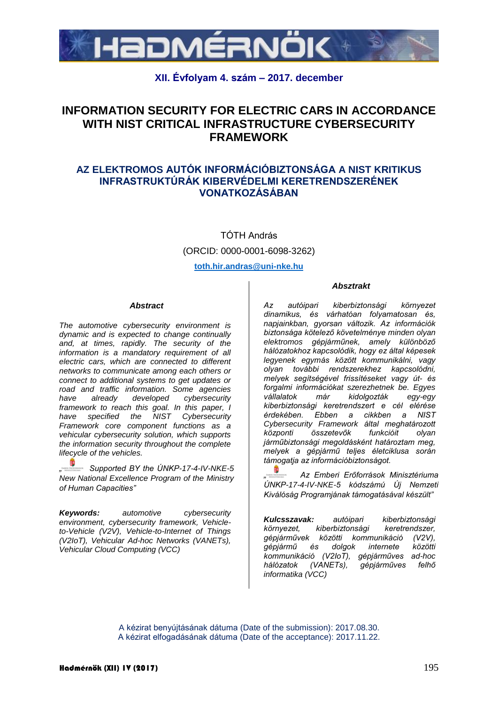

## **XII. Évfolyam 4. szám – 2017. december**

# **INFORMATION SECURITY FOR ELECTRIC CARS IN ACCORDANCE WITH NIST CRITICAL INFRASTRUCTURE CYBERSECURITY FRAMEWORK**

### **AZ ELEKTROMOS AUTÓK INFORMÁCIÓBIZTONSÁGA A NIST KRITIKUS INFRASTRUKTÚRÁK KIBERVÉDELMI KERETRENDSZERÉNEK VONATKOZÁSÁBAN**

TÓTH András (ORCID: 0000-0001-6098-3262) **toth.hir.andras@uni-nke.hu**

#### *Abstract*

*The automotive cybersecurity environment is dynamic and is expected to change continually and, at times, rapidly. The security of the information is a mandatory requirement of all electric cars, which are connected to different networks to communicate among each others or connect to additional systems to get updates or road and traffic information. Some agencies have already developed cybersecurity framework to reach this goal. In this paper, I have specified the NIST Cybersecurity Framework core component functions as a vehicular cybersecurity solution, which supports the information security throughout the complete lifecycle of the vehicles.* 

*" Supported BY the ÚNKP-17-4-IV-NKE-5 New National Excellence Program of the Ministry of Human Capacities"*

*Keywords: automotive cybersecurity environment, cybersecurity framework, Vehicleto-Vehicle (V2V), Vehicle-to-Internet of Things (V2IoT), Vehicular Ad-hoc Networks (VANETs), Vehicular Cloud Computing (VCC)*

#### *Absztrakt*

*Az autóipari kiberbiztonsági környezet dinamikus, és várhatóan folyamatosan és, napjainkban, gyorsan változik. Az információk biztonsága kötelező követelménye minden olyan elektromos gépjárműnek, amely különböző hálózatokhoz kapcsolódik, hogy ez által képesek legyenek egymás között kommunikálni, vagy olyan további rendszerekhez kapcsolódni, melyek segítségével frissítéseket vagy út- és forgalmi információkat szerezhetnek be. Egyes vállalatok már kidolgozták egy-egy kiberbiztonsági keretrendszert e cél elérése érdekében. Ebben a cikkben a NIST Cybersecurity Framework által meghatározott központi összetevők funkcióit olyan járműbiztonsági megoldásként határoztam meg, melyek a gépjármű teljes életciklusa során támogatja az információbiztonságot.*

*" Az Emberi Erőforrások Minisztériuma ÚNKP-17-4-IV-NKE-5 kódszámú Új Nemzeti Kiválóság Programjának támogatásával készült"*

*Kulcsszavak: autóipari kiberbiztonsági környezet, kiberbiztonsági keretrendszer, gépjárművek közötti kommunikáció (V2V), gépjármű és dolgok internete közötti kommunikáció (V2IoT), gépjárműves ad-hoc hálózatok (VANETs), gépjárműves felhő informatika (VCC)*

A kézirat benyújtásának dátuma (Date of the submission): 2017.08.30. A kézirat elfogadásának dátuma (Date of the acceptance): 2017.11.22.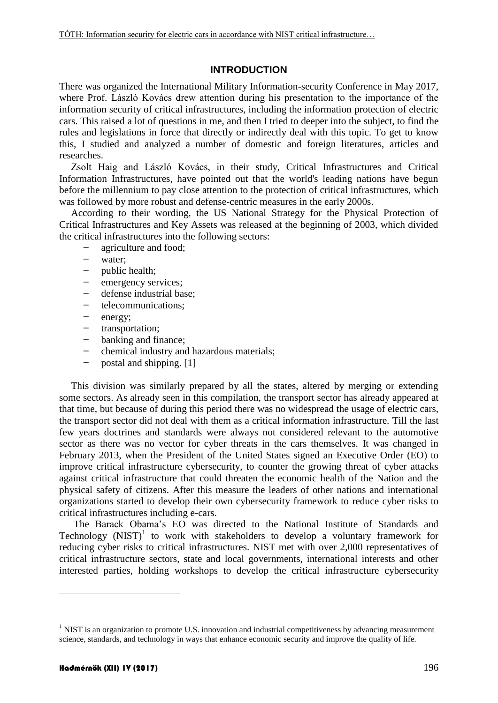### **INTRODUCTION**

There was organized the International Military Information-security Conference in May 2017, where Prof. László Kovács drew attention during his presentation to the importance of the information security of critical infrastructures, including the information protection of electric cars. This raised a lot of questions in me, and then I tried to deeper into the subject, to find the rules and legislations in force that directly or indirectly deal with this topic. To get to know this, I studied and analyzed a number of domestic and foreign literatures, articles and researches.

Zsolt Haig and László Kovács, in their study, Critical Infrastructures and Critical Information Infrastructures, have pointed out that the world's leading nations have begun before the millennium to pay close attention to the protection of critical infrastructures, which was followed by more robust and defense-centric measures in the early 2000s.

According to their wording, the US National Strategy for the Physical Protection of Critical Infrastructures and Key Assets was released at the beginning of 2003, which divided the critical infrastructures into the following sectors:

- agriculture and food;
- water;
- public health;
- emergency services;
- defense industrial base;
- telecommunications;
- energy;
- transportation;
- banking and finance;
- chemical industry and hazardous materials;
- $-$  postal and shipping. [1]

This division was similarly prepared by all the states, altered by merging or extending some sectors. As already seen in this compilation, the transport sector has already appeared at that time, but because of during this period there was no widespread the usage of electric cars, the transport sector did not deal with them as a critical information infrastructure. Till the last few years doctrines and standards were always not considered relevant to the automotive sector as there was no vector for cyber threats in the cars themselves. It was changed in February 2013, when the President of the United States signed an Executive Order (EO) to improve critical infrastructure cybersecurity, to counter the growing threat of cyber attacks against critical infrastructure that could threaten the economic health of the Nation and the physical safety of citizens. After this measure the leaders of other nations and international organizations started to develop their own cybersecurity framework to reduce cyber risks to critical infrastructures including e-cars.

The Barack Obama's EO was directed to the National Institute of Standards and Technology (NIST)<sup>1</sup> to work with stakeholders to develop a voluntary framework for reducing cyber risks to critical infrastructures. NIST met with over 2,000 representatives of critical infrastructure sectors, state and local governments, international interests and other interested parties, holding workshops to develop the critical infrastructure cybersecurity

1

<sup>&</sup>lt;sup>1</sup> NIST is an organization to promote U.S. innovation and industrial competitiveness by advancing measurement science, standards, and technology in ways that enhance economic security and improve the quality of life.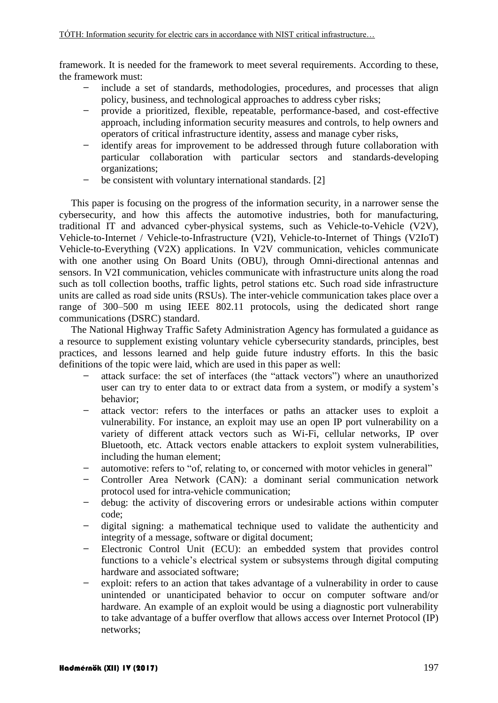framework. It is needed for the framework to meet several requirements. According to these, the framework must:

- include a set of standards, methodologies, procedures, and processes that align policy, business, and technological approaches to address cyber risks;
- provide a prioritized, flexible, repeatable, performance-based, and cost-effective approach, including information security measures and controls, to help owners and operators of critical infrastructure identity, assess and manage cyber risks,
- identify areas for improvement to be addressed through future collaboration with particular collaboration with particular sectors and standards-developing organizations;
- be consistent with voluntary international standards. [2]

This paper is focusing on the progress of the information security, in a narrower sense the cybersecurity, and how this affects the automotive industries, both for manufacturing, traditional IT and advanced cyber-physical systems, such as Vehicle-to-Vehicle (V2V), Vehicle-to-Internet / Vehicle-to-Infrastructure (V2I), Vehicle-to-Internet of Things (V2IoT) Vehicle-to-Everything (V2X) applications. In V2V communication, vehicles communicate with one another using On Board Units (OBU), through Omni-directional antennas and sensors. In V2I communication, vehicles communicate with infrastructure units along the road such as toll collection booths, traffic lights, petrol stations etc. Such road side infrastructure units are called as road side units (RSUs). The inter-vehicle communication takes place over a range of 300–500 m using IEEE 802.11 protocols, using the dedicated short range communications (DSRC) standard.

The National Highway Traffic Safety Administration Agency has formulated a guidance as a resource to supplement existing voluntary vehicle cybersecurity standards, principles, best practices, and lessons learned and help guide future industry efforts. In this the basic definitions of the topic were laid, which are used in this paper as well:

- attack surface: the set of interfaces (the "attack vectors") where an unauthorized user can try to enter data to or extract data from a system, or modify a system's behavior;
- attack vector: refers to the interfaces or paths an attacker uses to exploit a vulnerability. For instance, an exploit may use an open IP port vulnerability on a variety of different attack vectors such as Wi-Fi, cellular networks, IP over Bluetooth, etc. Attack vectors enable attackers to exploit system vulnerabilities, including the human element;
- automotive: refers to "of, relating to, or concerned with motor vehicles in general"
- Controller Area Network (CAN): a dominant serial communication network protocol used for intra-vehicle communication;
- debug: the activity of discovering errors or undesirable actions within computer code;
- digital signing: a mathematical technique used to validate the authenticity and integrity of a message, software or digital document;
- Electronic Control Unit (ECU): an embedded system that provides control functions to a vehicle's electrical system or subsystems through digital computing hardware and associated software;
- exploit: refers to an action that takes advantage of a vulnerability in order to cause unintended or unanticipated behavior to occur on computer software and/or hardware. An example of an exploit would be using a diagnostic port vulnerability to take advantage of a buffer overflow that allows access over Internet Protocol (IP) networks;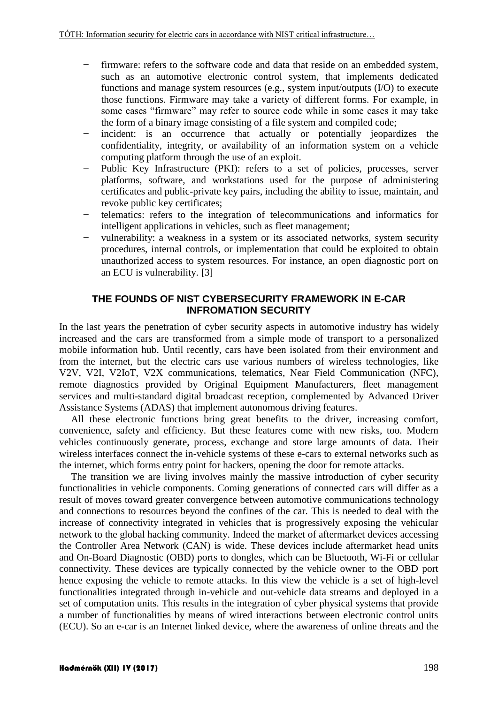- firmware: refers to the software code and data that reside on an embedded system, such as an automotive electronic control system, that implements dedicated functions and manage system resources (e.g., system input/outputs (I/O) to execute those functions. Firmware may take a variety of different forms. For example, in some cases "firmware" may refer to source code while in some cases it may take the form of a binary image consisting of a file system and compiled code;
- incident: is an occurrence that actually or potentially jeopardizes the confidentiality, integrity, or availability of an information system on a vehicle computing platform through the use of an exploit.
- Public Key Infrastructure (PKI): refers to a set of policies, processes, server platforms, software, and workstations used for the purpose of administering certificates and public-private key pairs, including the ability to issue, maintain, and revoke public key certificates;
- telematics: refers to the integration of telecommunications and informatics for intelligent applications in vehicles, such as fleet management;
- vulnerability: a weakness in a system or its associated networks, system security procedures, internal controls, or implementation that could be exploited to obtain unauthorized access to system resources. For instance, an open diagnostic port on an ECU is vulnerability. [3]

### **THE FOUNDS OF NIST CYBERSECURITY FRAMEWORK IN E-CAR INFROMATION SECURITY**

In the last years the penetration of cyber security aspects in automotive industry has widely increased and the cars are transformed from a simple mode of transport to a personalized mobile information hub. Until recently, cars have been isolated from their environment and from the internet, but the electric cars use various numbers of wireless technologies, like V2V, V2I, V2IoT, V2X communications, telematics, Near Field Communication (NFC), remote diagnostics provided by Original Equipment Manufacturers, fleet management services and multi-standard digital broadcast reception, complemented by Advanced Driver Assistance Systems (ADAS) that implement autonomous driving features.

All these electronic functions bring great benefits to the driver, increasing comfort, convenience, safety and efficiency. But these features come with new risks, too. Modern vehicles continuously generate, process, exchange and store large amounts of data. Their wireless interfaces connect the in-vehicle systems of these e-cars to external networks such as the internet, which forms entry point for hackers, opening the door for remote attacks.

The transition we are living involves mainly the massive introduction of cyber security functionalities in vehicle components. Coming generations of connected cars will differ as a result of moves toward greater convergence between automotive communications technology and connections to resources beyond the confines of the car. This is needed to deal with the increase of connectivity integrated in vehicles that is progressively exposing the vehicular network to the global hacking community. Indeed the market of aftermarket devices accessing the Controller Area Network (CAN) is wide. These devices include aftermarket head units and On-Board Diagnostic (OBD) ports to dongles, which can be Bluetooth, Wi-Fi or cellular connectivity. These devices are typically connected by the vehicle owner to the OBD port hence exposing the vehicle to remote attacks. In this view the vehicle is a set of high-level functionalities integrated through in-vehicle and out-vehicle data streams and deployed in a set of computation units. This results in the integration of cyber physical systems that provide a number of functionalities by means of wired interactions between electronic control units (ECU). So an e-car is an Internet linked device, where the awareness of online threats and the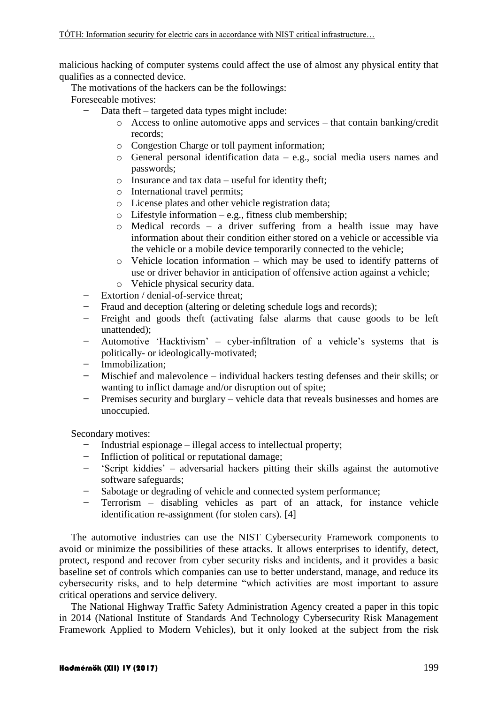malicious hacking of computer systems could affect the use of almost any physical entity that qualifies as a connected device.

The motivations of the hackers can be the followings:

Foreseeable motives:

- Data theft targeted data types might include:
	- o Access to online automotive apps and services that contain banking/credit records;
	- o Congestion Charge or toll payment information;
	- o General personal identification data e.g., social media users names and passwords;
	- $\circ$  Insurance and tax data useful for identity theft;
	- o International travel permits;
	- o License plates and other vehicle registration data;
	- $\circ$  Lifestyle information e.g., fitness club membership;
	- o Medical records a driver suffering from a health issue may have information about their condition either stored on a vehicle or accessible via the vehicle or a mobile device temporarily connected to the vehicle;
	- $\circ$  Vehicle location information which may be used to identify patterns of use or driver behavior in anticipation of offensive action against a vehicle;
	- o Vehicle physical security data.
- Extortion / denial-of-service threat;
- Fraud and deception (altering or deleting schedule logs and records);
- Freight and goods theft (activating false alarms that cause goods to be left unattended);
- Automotive 'Hacktivism' cyber-infiltration of a vehicle's systems that is politically- or ideologically-motivated;
- Immobilization;
- Mischief and malevolence individual hackers testing defenses and their skills; or wanting to inflict damage and/or disruption out of spite;
- Premises security and burglary vehicle data that reveals businesses and homes are unoccupied.

Secondary motives:

- Industrial espionage illegal access to intellectual property;
- Infliction of political or reputational damage;
- 'Script kiddies' adversarial hackers pitting their skills against the automotive software safeguards;
- Sabotage or degrading of vehicle and connected system performance;
- Terrorism disabling vehicles as part of an attack, for instance vehicle identification re-assignment (for stolen cars). [4]

The automotive industries can use the NIST Cybersecurity Framework components to avoid or minimize the possibilities of these attacks. It allows enterprises to identify, detect, protect, respond and recover from cyber security risks and incidents, and it provides a basic baseline set of controls which companies can use to better understand, manage, and reduce its cybersecurity risks, and to help determine "which activities are most important to assure critical operations and service delivery.

The National Highway Traffic Safety Administration Agency created a paper in this topic in 2014 (National Institute of Standards And Technology Cybersecurity Risk Management Framework Applied to Modern Vehicles), but it only looked at the subject from the risk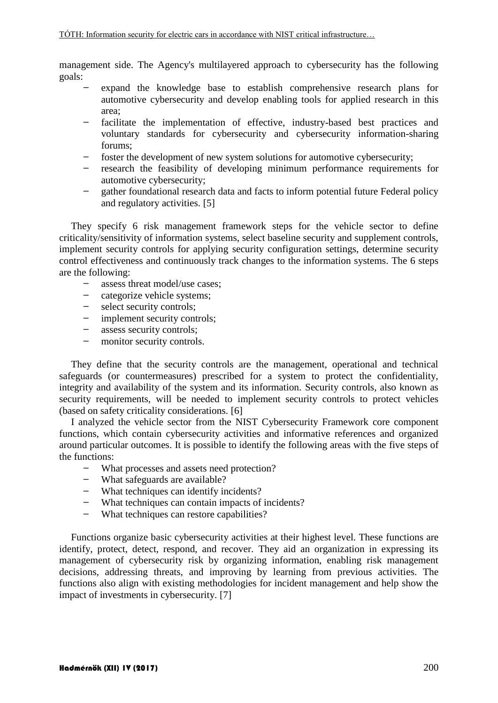management side. The Agency's multilayered approach to cybersecurity has the following goals:

- expand the knowledge base to establish comprehensive research plans for automotive cybersecurity and develop enabling tools for applied research in this area;
- facilitate the implementation of effective, industry-based best practices and voluntary standards for cybersecurity and cybersecurity information-sharing forums;
- foster the development of new system solutions for automotive cybersecurity;
- research the feasibility of developing minimum performance requirements for automotive cybersecurity;
- gather foundational research data and facts to inform potential future Federal policy and regulatory activities. [5]

They specify 6 risk management framework steps for the vehicle sector to define criticality/sensitivity of information systems, select baseline security and supplement controls, implement security controls for applying security configuration settings, determine security control effectiveness and continuously track changes to the information systems. The 6 steps are the following:

- assess threat model/use cases;
- categorize vehicle systems;
- select security controls;
- implement security controls;
- assess security controls;
- monitor security controls.

They define that the security controls are the management, operational and technical safeguards (or countermeasures) prescribed for a system to protect the confidentiality, integrity and availability of the system and its information. Security controls, also known as security requirements, will be needed to implement security controls to protect vehicles (based on safety criticality considerations. [6]

I analyzed the vehicle sector from the NIST Cybersecurity Framework core component functions, which contain cybersecurity activities and informative references and organized around particular outcomes. It is possible to identify the following areas with the five steps of the functions:

- What processes and assets need protection?
- What safeguards are available?
- What techniques can identify incidents?
- What techniques can contain impacts of incidents?
- What techniques can restore capabilities?

Functions organize basic cybersecurity activities at their highest level. These functions are identify, protect, detect, respond, and recover. They aid an organization in expressing its management of cybersecurity risk by organizing information, enabling risk management decisions, addressing threats, and improving by learning from previous activities. The functions also align with existing methodologies for incident management and help show the impact of investments in cybersecurity. [7]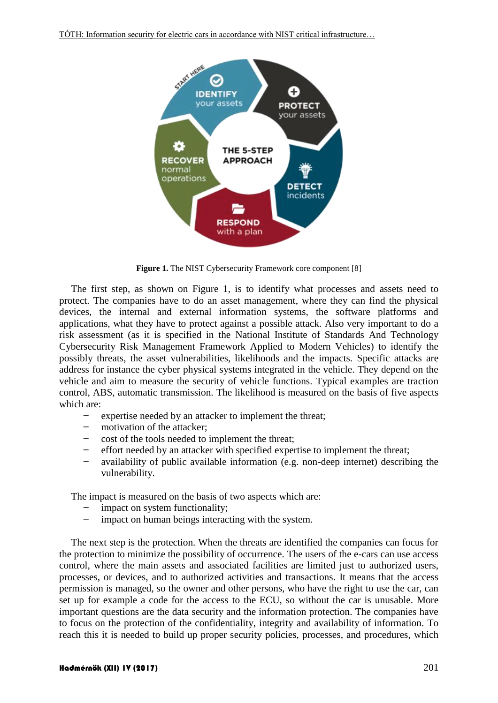

**Figure 1.** The NIST Cybersecurity Framework core component [8]

The first step, as shown on Figure 1, is to identify what processes and assets need to protect. The companies have to do an asset management, where they can find the physical devices, the internal and external information systems, the software platforms and applications, what they have to protect against a possible attack. Also very important to do a risk assessment (as it is specified in the National Institute of Standards And Technology Cybersecurity Risk Management Framework Applied to Modern Vehicles) to identify the possibly threats, the asset vulnerabilities, likelihoods and the impacts. Specific attacks are address for instance the cyber physical systems integrated in the vehicle. They depend on the vehicle and aim to measure the security of vehicle functions. Typical examples are traction control, ABS, automatic transmission. The likelihood is measured on the basis of five aspects which are:

- expertise needed by an attacker to implement the threat;
- motivation of the attacker;
- cost of the tools needed to implement the threat;
- effort needed by an attacker with specified expertise to implement the threat;
- availability of public available information (e.g. non-deep internet) describing the vulnerability.

The impact is measured on the basis of two aspects which are:

- impact on system functionality;
- impact on human beings interacting with the system.

The next step is the protection. When the threats are identified the companies can focus for the protection to minimize the possibility of occurrence. The users of the e-cars can use access control, where the main assets and associated facilities are limited just to authorized users, processes, or devices, and to authorized activities and transactions. It means that the access permission is managed, so the owner and other persons, who have the right to use the car, can set up for example a code for the access to the ECU, so without the car is unusable. More important questions are the data security and the information protection. The companies have to focus on the protection of the confidentiality, integrity and availability of information. To reach this it is needed to build up proper security policies, processes, and procedures, which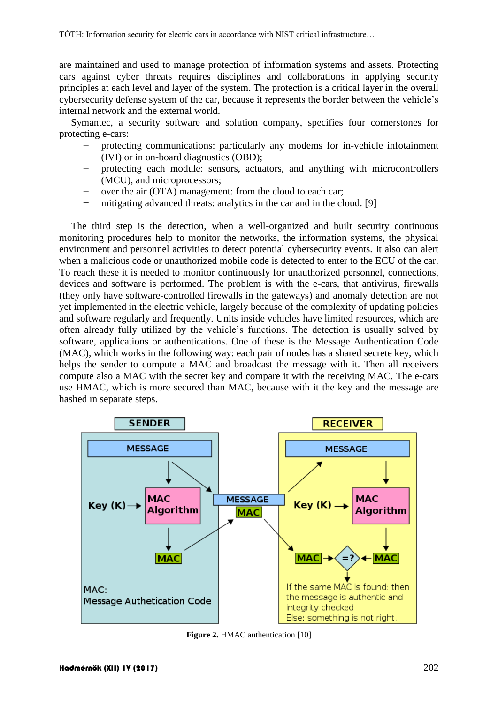are maintained and used to manage protection of information systems and assets. Protecting cars against cyber threats requires disciplines and collaborations in applying security principles at each level and layer of the system. The protection is a critical layer in the overall cybersecurity defense system of the car, because it represents the border between the vehicle's internal network and the external world.

Symantec, a security software and solution company, specifies four cornerstones for protecting e-cars:

- protecting communications: particularly any modems for in-vehicle infotainment (IVI) or in on-board diagnostics (OBD);
- protecting each module: sensors, actuators, and anything with microcontrollers (MCU), and microprocessors;
- over the air (OTA) management: from the cloud to each car;
- mitigating advanced threats: analytics in the car and in the cloud. [9]

The third step is the detection, when a well-organized and built security continuous monitoring procedures help to monitor the networks, the information systems, the physical environment and personnel activities to detect potential cybersecurity events. It also can alert when a malicious code or unauthorized mobile code is detected to enter to the ECU of the car. To reach these it is needed to monitor continuously for unauthorized personnel, connections, devices and software is performed. The problem is with the e-cars, that antivirus, firewalls (they only have software-controlled firewalls in the gateways) and anomaly detection are not yet implemented in the electric vehicle, largely because of the complexity of updating policies and software regularly and frequently. Units inside vehicles have limited resources, which are often already fully utilized by the vehicle's functions. The detection is usually solved by software, applications or authentications. One of these is the Message Authentication Code (MAC), which works in the following way: each pair of nodes has a shared secrete key, which helps the sender to compute a MAC and broadcast the message with it. Then all receivers compute also a MAC with the secret key and compare it with the receiving MAC. The e-cars use HMAC, which is more secured than [MAC,](http://whatis.techtarget.com/definition/message-authentication-code-MAC) because with it the key and the message are hashed in separate steps.



**Figure 2.** HMAC authentication [10]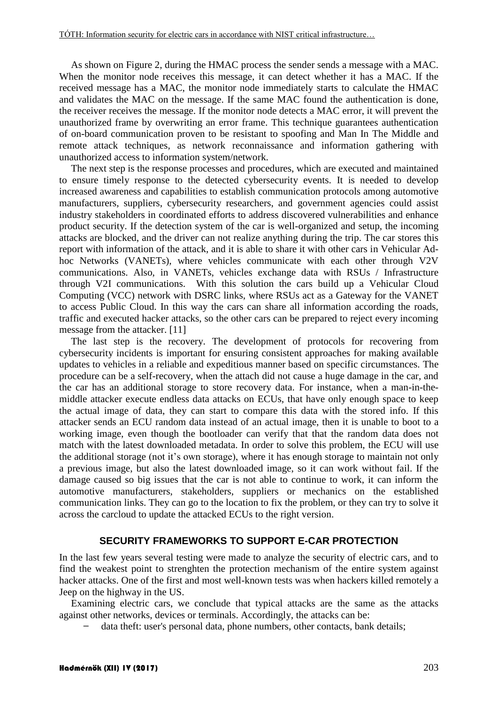As shown on Figure 2, during the HMAC process the sender sends a message with a MAC. When the monitor node receives this message, it can detect whether it has a MAC. If the received message has a MAC, the monitor node immediately starts to calculate the HMAC and validates the MAC on the message. If the same MAC found the authentication is done, the receiver receives the message. If the monitor node detects a MAC error, it will prevent the unauthorized frame by overwriting an error frame. This technique guarantees authentication of on-board communication proven to be resistant to spoofing and Man In The Middle and remote attack techniques, as network reconnaissance and information gathering with unauthorized access to information system/network.

The next step is the response processes and procedures, which are executed and maintained to ensure timely response to the detected cybersecurity events. It is needed to develop increased awareness and capabilities to establish communication protocols among automotive manufacturers, suppliers, cybersecurity researchers, and government agencies could assist industry stakeholders in coordinated efforts to address discovered vulnerabilities and enhance product security. If the detection system of the car is well-organized and setup, the incoming attacks are blocked, and the driver can not realize anything during the trip. The car stores this report with information of the attack, and it is able to share it with other cars in Vehicular Adhoc Networks (VANETs), where vehicles communicate with each other through V2V communications. Also, in VANETs, vehicles exchange data with RSUs / Infrastructure through V2I communications. With this solution the cars build up a Vehicular Cloud Computing (VCC) network with DSRC links, where RSUs act as a Gateway for the VANET to access Public Cloud. In this way the cars can share all information according the roads, traffic and executed hacker attacks, so the other cars can be prepared to reject every incoming message from the attacker. [11]

The last step is the recovery. The development of protocols for recovering from cybersecurity incidents is important for ensuring consistent approaches for making available updates to vehicles in a reliable and expeditious manner based on specific circumstances. The procedure can be a self-recovery, when the attach did not cause a huge damage in the car, and the car has an additional storage to store recovery data. For instance, when a man-in-themiddle attacker execute endless data attacks on ECUs, that have only enough space to keep the actual image of data, they can start to compare this data with the stored info. If this attacker sends an ECU random data instead of an actual image, then it is unable to boot to a working image, even though the bootloader can verify that that the random data does not match with the latest downloaded metadata. In order to solve this problem, the ECU will use the additional storage (not it's own storage), where it has enough storage to maintain not only a previous image, but also the latest downloaded image, so it can work without fail. If the damage caused so big issues that the car is not able to continue to work, it can inform the automotive manufacturers, stakeholders, suppliers or mechanics on the established communication links. They can go to the location to fix the problem, or they can try to solve it across the carcloud to update the attacked ECUs to the right version.

#### **SECURITY FRAMEWORKS TO SUPPORT E-CAR PROTECTION**

In the last few years several testing were made to analyze the security of electric cars, and to find the weakest point to strenghten the protection mechanism of the entire system against hacker attacks. One of the first and most well-known tests was when hackers killed remotely a Jeep on the highway in the US.

Examining electric cars, we conclude that typical attacks are the same as the attacks against other networks, devices or terminals. Accordingly, the attacks can be:

data theft: user's personal data, phone numbers, other contacts, bank details;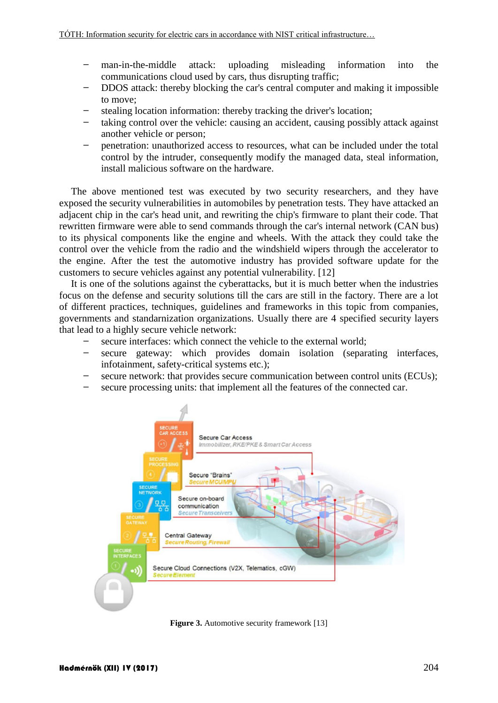- man-in-the-middle attack: uploading misleading information into the communications cloud used by cars, thus disrupting traffic;
- DDOS attack: thereby blocking the car's central computer and making it impossible to move;
- stealing location information: thereby tracking the driver's location;
- taking control over the vehicle: causing an accident, causing possibly attack against another vehicle or person;
- penetration: unauthorized access to resources, what can be included under the total control by the intruder, consequently modify the managed data, steal information, install malicious software on the hardware.

The above mentioned test was executed by two security researchers, and they have exposed the security vulnerabilities in automobiles by penetration tests. They have attacked an adjacent chip in the car's head unit, and rewriting the chip's firmware to plant their code. That rewritten firmware were able to send commands through the car's internal network (CAN bus) to its physical components like the engine and wheels. With the attack they could take the control over the vehicle from the radio and the windshield wipers through the accelerator to the engine. After the test the automotive industry has provided software update for the customers to secure vehicles against any potential vulnerability. [12]

It is one of the solutions against the cyberattacks, but it is much better when the industries focus on the defense and security solutions till the cars are still in the factory. There are a lot of different practices, techniques, guidelines and frameworks in this topic from companies, governments and standarnization organizations. Usually there are 4 specified security layers that lead to a highly secure vehicle network:

- secure interfaces: which connect the vehicle to the external world;
- secure gateway: which provides domain isolation (separating interfaces, infotainment, safety-critical systems etc.);
- secure network: that provides secure communication between control units (ECUs);
- secure processing units: that implement all the features of the connected car.



**Figure 3.** Automotive security framework [13]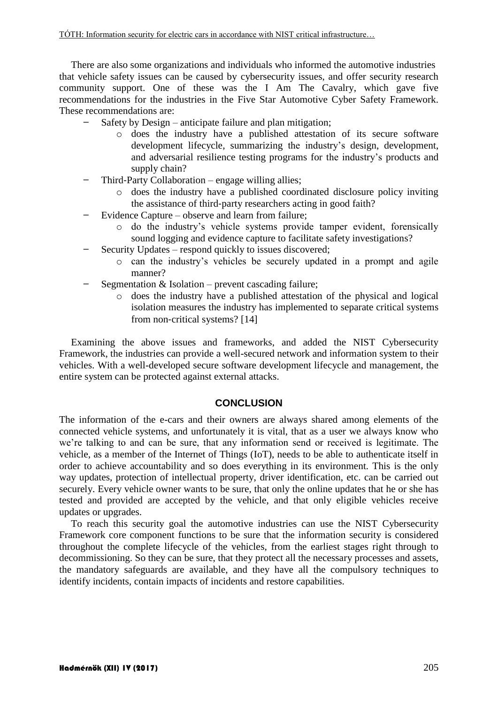There are also some organizations and individuals who informed the automotive industries that vehicle safety issues can be caused by cybersecurity issues, and offer security research community support. One of these was the I Am The Cavalry, which gave five recommendations for the industries in the Five Star Automotive Cyber Safety Framework. These recommendations are:

- Safety by Design anticipate failure and plan mitigation;
	- o does the industry have a published attestation of its secure software development lifecycle, summarizing the industry's design, development, and adversarial resilience testing programs for the industry's products and supply chain?
- Third‐Party Collaboration engage willing allies;
	- o does the industry have a published coordinated disclosure policy inviting the assistance of third‐party researchers acting in good faith?
- Evidence Capture observe and learn from failure;
	- o do the industry's vehicle systems provide tamper evident, forensically sound logging and evidence capture to facilitate safety investigations?
- Security Updates respond quickly to issues discovered;
	- o can the industry's vehicles be securely updated in a prompt and agile manner?
- Segmentation  $&$  Isolation prevent cascading failure;
	- o does the industry have a published attestation of the physical and logical isolation measures the industry has implemented to separate critical systems from non-critical systems? [14]

Examining the above issues and frameworks, and added the NIST Cybersecurity Framework, the industries can provide a well-secured network and information system to their vehicles. With a well-developed secure software development lifecycle and management, the entire system can be protected against external attacks.

#### **CONCLUSION**

The information of the e-cars and their owners are always shared among elements of the connected vehicle systems, and unfortunately it is vital, that as a user we always know who we're talking to and can be sure, that any information send or received is legitimate. The vehicle, as a member of the Internet of Things (IoT), needs to be able to authenticate itself in order to achieve accountability and so does everything in its environment. This is the only way updates, protection of intellectual property, driver identification, etc. can be carried out securely. Every vehicle owner wants to be sure, that only the online updates that he or she has tested and provided are accepted by the vehicle, and that only eligible vehicles receive updates or upgrades.

To reach this security goal the automotive industries can use the NIST Cybersecurity Framework core component functions to be sure that the information security is considered throughout the complete lifecycle of the vehicles, from the earliest stages right through to decommissioning. So they can be sure, that they protect all the necessary processes and assets, the mandatory safeguards are available, and they have all the compulsory techniques to identify incidents, contain impacts of incidents and restore capabilities.